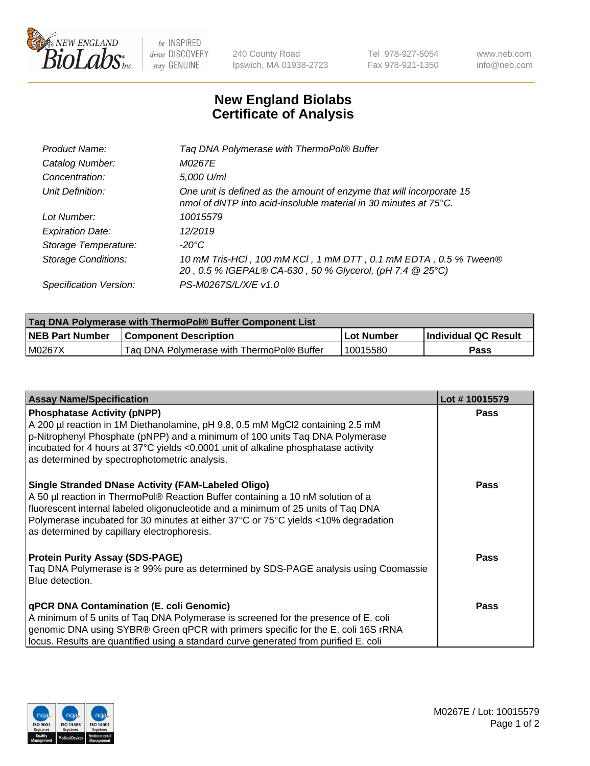

 $be$  INSPIRED drive DISCOVERY stay GENUINE

240 County Road Ipswich, MA 01938-2723 Tel 978-927-5054 Fax 978-921-1350 www.neb.com info@neb.com

## **New England Biolabs Certificate of Analysis**

| Tag DNA Polymerase with ThermoPol® Buffer                                                                                                |
|------------------------------------------------------------------------------------------------------------------------------------------|
| M0267E                                                                                                                                   |
| 5,000 U/ml                                                                                                                               |
| One unit is defined as the amount of enzyme that will incorporate 15<br>nmol of dNTP into acid-insoluble material in 30 minutes at 75°C. |
| 10015579                                                                                                                                 |
| 12/2019                                                                                                                                  |
| $-20^{\circ}$ C                                                                                                                          |
| 10 mM Tris-HCl, 100 mM KCl, 1 mM DTT, 0.1 mM EDTA, 0.5 % Tween®<br>20, 0.5 % IGEPAL® CA-630, 50 % Glycerol, (pH 7.4 @ 25°C)              |
| PS-M0267S/L/X/E v1.0                                                                                                                     |
|                                                                                                                                          |

| <b>Tag DNA Polymerase with ThermoPol® Buffer Component List</b> |                                           |            |                      |  |  |
|-----------------------------------------------------------------|-------------------------------------------|------------|----------------------|--|--|
| <b>NEB Part Number</b>                                          | <b>Component Description</b>              | Lot Number | Individual QC Result |  |  |
| M0267X                                                          | Tag DNA Polymerase with ThermoPol® Buffer | 10015580   | Pass                 |  |  |

| <b>Assay Name/Specification</b>                                                                                                                                                                                                                                                                                                                                        | Lot #10015579 |
|------------------------------------------------------------------------------------------------------------------------------------------------------------------------------------------------------------------------------------------------------------------------------------------------------------------------------------------------------------------------|---------------|
| <b>Phosphatase Activity (pNPP)</b><br>A 200 µl reaction in 1M Diethanolamine, pH 9.8, 0.5 mM MgCl2 containing 2.5 mM<br>p-Nitrophenyl Phosphate (pNPP) and a minimum of 100 units Taq DNA Polymerase<br>incubated for 4 hours at 37°C yields <0.0001 unit of alkaline phosphatase activity<br>as determined by spectrophotometric analysis.                            | <b>Pass</b>   |
| <b>Single Stranded DNase Activity (FAM-Labeled Oligo)</b><br>A 50 µl reaction in ThermoPol® Reaction Buffer containing a 10 nM solution of a<br>fluorescent internal labeled oligonucleotide and a minimum of 25 units of Taq DNA<br>Polymerase incubated for 30 minutes at either 37°C or 75°C yields <10% degradation<br>as determined by capillary electrophoresis. | <b>Pass</b>   |
| <b>Protein Purity Assay (SDS-PAGE)</b><br>Taq DNA Polymerase is ≥ 99% pure as determined by SDS-PAGE analysis using Coomassie<br>Blue detection.                                                                                                                                                                                                                       | Pass          |
| qPCR DNA Contamination (E. coli Genomic)<br>A minimum of 5 units of Taq DNA Polymerase is screened for the presence of E. coli<br>genomic DNA using SYBR® Green qPCR with primers specific for the E. coli 16S rRNA<br>locus. Results are quantified using a standard curve generated from purified E. coli                                                            | Pass          |